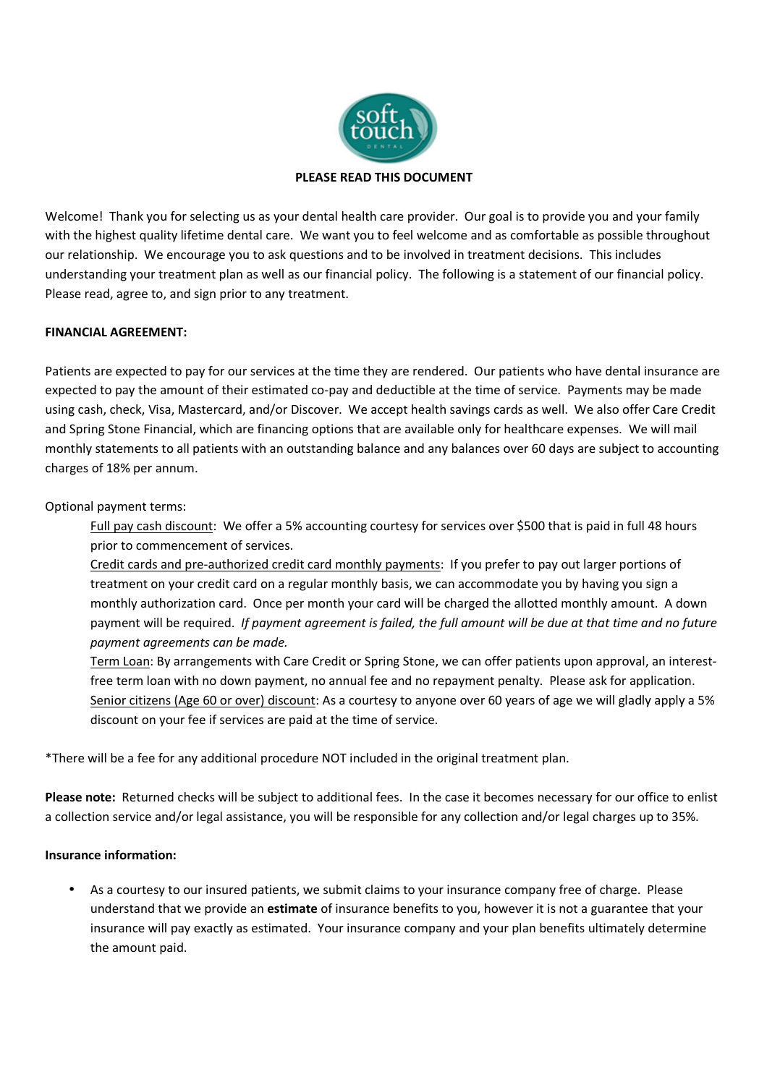

Welcome! Thank you for selecting us as your dental health care provider. Our goal is to provide you and your family with the highest quality lifetime dental care. We want you to feel welcome and as comfortable as possible throughout our relationship. We encourage you to ask questions and to be involved in treatment decisions. This includes understanding your treatment plan as well as our financial policy. The following is a statement of our financial policy. Please read, agree to, and sign prior to any treatment.

# **FINANCIAL AGREEMENT:**

Patients are expected to pay for our services at the time they are rendered. Our patients who have dental insurance are expected to pay the amount of their estimated co-pay and deductible at the time of service. Payments may be made using cash, check, Visa, Mastercard, and/or Discover. We accept health savings cards as well. We also offer Care Credit and Spring Stone Financial, which are financing options that are available only for healthcare expenses. We will mail monthly statements to all patients with an outstanding balance and any balances over 60 days are subject to accounting charges of 18% per annum.

Optional payment terms:

Full pay cash discount: We offer a 5% accounting courtesy for services over \$500 that is paid in full 48 hours prior to commencement of services.

Credit cards and pre-authorized credit card monthly payments: If you prefer to pay out larger portions of treatment on your credit card on a regular monthly basis, we can accommodate you by having you sign a monthly authorization card. Once per month your card will be charged the allotted monthly amount. A down payment will be required. *If payment agreement is failed, the full amount will be due at that time and no future payment agreements can be made.*

Term Loan: By arrangements with Care Credit or Spring Stone, we can offer patients upon approval, an interestfree term loan with no down payment, no annual fee and no repayment penalty. Please ask for application. Senior citizens (Age 60 or over) discount: As a courtesy to anyone over 60 years of age we will gladly apply a 5% discount on your fee if services are paid at the time of service.

\*There will be a fee for any additional procedure NOT included in the original treatment plan.

**Please note:** Returned checks will be subject to additional fees. In the case it becomes necessary for our office to enlist a collection service and/or legal assistance, you will be responsible for any collection and/or legal charges up to 35%.

## **Insurance information:**

• As a courtesy to our insured patients, we submit claims to your insurance company free of charge. Please understand that we provide an **estimate** of insurance benefits to you, however it is not a guarantee that your insurance will pay exactly as estimated. Your insurance company and your plan benefits ultimately determine the amount paid.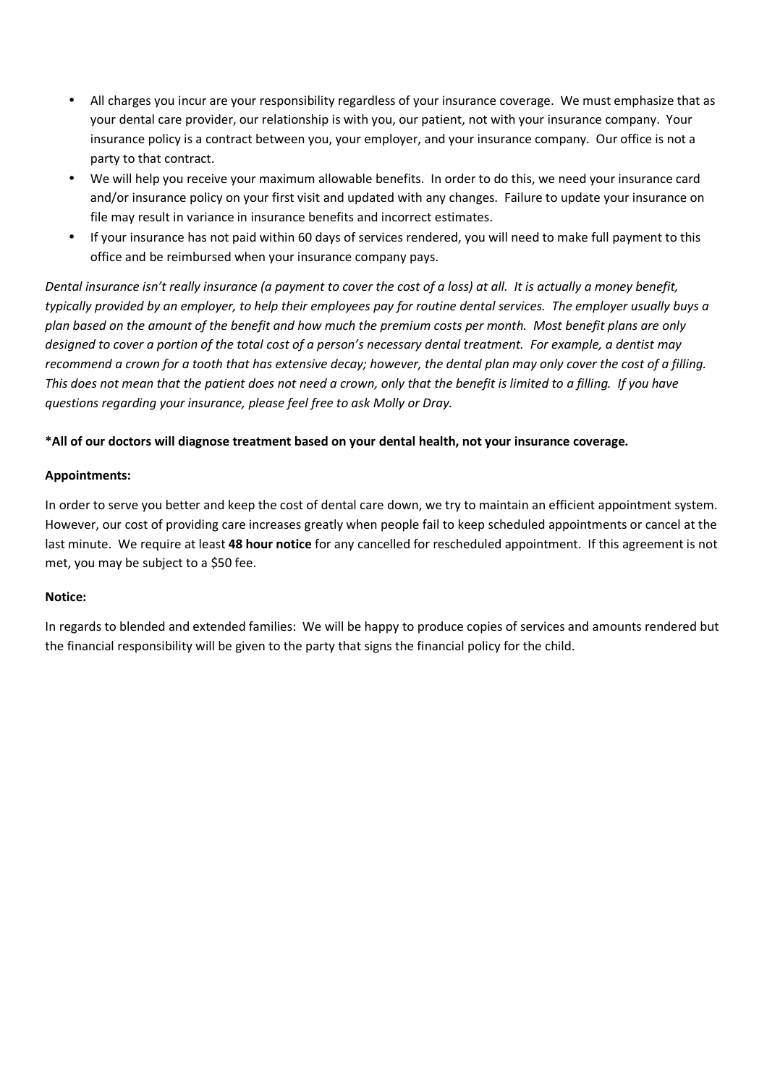- All charges you incur are your responsibility regardless of your insurance coverage. We must emphasize that as your dental care provider, our relationship is with you, our patient, not with your insurance company. Your insurance policy is a contract between you, your employer, and your insurance company. Our office is not a party to that contract.
- We will help you receive your maximum allowable benefits. In order to do this, we need your insurance card and/or insurance policy on your first visit and updated with any changes. Failure to update your insurance on file may result in variance in insurance benefits and incorrect estimates.
- If your insurance has not paid within 60 days of services rendered, you will need to make full payment to this office and be reimbursed when your insurance company pays.

*Dental insurance isn't really insurance (a payment to cover the cost of a loss) at all. It is actually a money benefit, typically provided by an employer, to help their employees pay for routine dental services. The employer usually buys a plan based on the amount of the benefit and how much the premium costs per month. Most benefit plans are only designed to cover a portion of the total cost of a person's necessary dental treatment. For example, a dentist may recommend a crown for a tooth that has extensive decay; however, the dental plan may only cover the cost of a filling.*  This does not mean that the patient does not need a crown, only that the benefit is limited to a filling. If you have *questions regarding your insurance, please feel free to ask Molly or Dray.* 

### **\*All of our doctors will diagnose treatment based on your dental health, not your insurance coverage.**

#### **Appointments:**

In order to serve you better and keep the cost of dental care down, we try to maintain an efficient appointment system. However, our cost of providing care increases greatly when people fail to keep scheduled appointments or cancel at the last minute. We require at least **48 hour notice** for any cancelled for rescheduled appointment. If this agreement is not met, you may be subject to a \$50 fee.

#### **Notice:**

In regards to blended and extended families: We will be happy to produce copies of services and amounts rendered but the financial responsibility will be given to the party that signs the financial policy for the child.